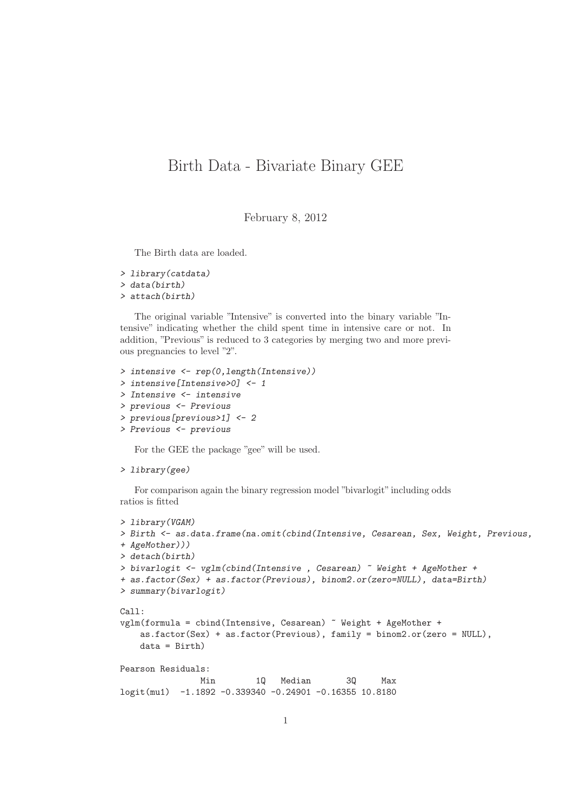## Birth Data - Bivariate Binary GEE

February 8, 2012

The Birth data are loaded.

```
> library(catdata)
> data(birth)
> attach(birth)
```
The original variable "Intensive" is converted into the binary variable "Intensive" indicating whether the child spent time in intensive care or not. In addition, "Previous" is reduced to 3 categories by merging two and more previous pregnancies to level "2".

```
> intensive <- rep(0,length(Intensive))
> intensive[Intensive>0] <- 1
> Intensive <- intensive
> previous <- Previous
> previous[previous>1] <- 2
> Previous <- previous
```
For the GEE the package "gee" will be used.

```
> library(gee)
```
For comparison again the binary regression model "bivarlogit"including odds ratios is fitted

```
> library(VGAM)
> Birth <- as.data.frame(na.omit(cbind(Intensive, Cesarean, Sex, Weight, Previous,
+ AgeMother)))
> detach(birth)
> bivarlogit <- vglm(cbind(Intensive , Cesarean) ~ Weight + AgeMother +
+ as.factor(Sex) + as.factor(Previous), binom2.or(zero=NULL), data=Birth)
> summary(bivarlogit)
Call:
vglm(formula = cbind(Intensive, Cesarean) ~ Weight + AgeMother +
   as.factor(Sex) + as.factor(Previous), family = binom2.or(zero = NULL),
   data = Birth)
Pearson Residuals:
               Min 1Q Median 3Q Max
logit(mu1) -1.1892 -0.339340 -0.24901 -0.16355 10.8180
```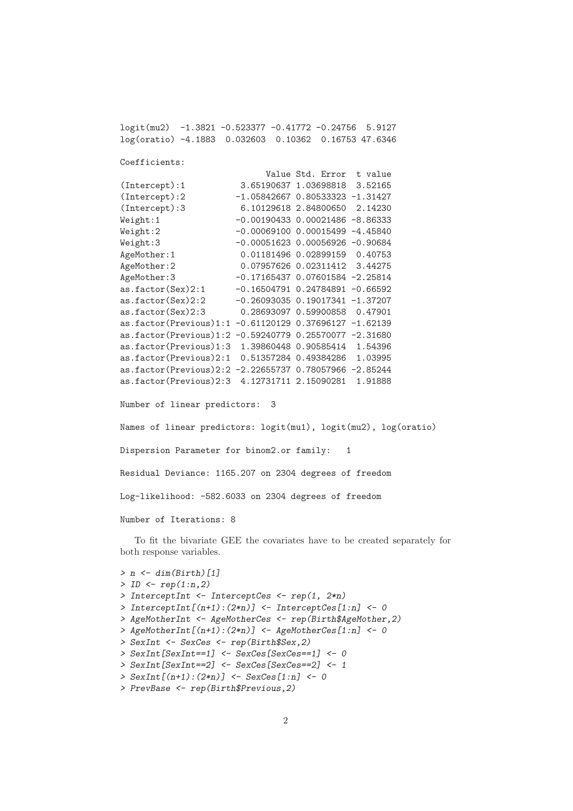logit(mu2) -1.3821 -0.523377 -0.41772 -0.24756 5.9127 log(oratio) -4.1883 0.032603 0.10362 0.16753 47.6346

Coefficients:

|                                                        |                                       | Value Std. Error              | t value |
|--------------------------------------------------------|---------------------------------------|-------------------------------|---------|
| (Intercept): 1                                         |                                       | 3.65190637 1.03698818 3.52165 |         |
| (Intercept):2                                          | $-1.05842667$ 0.80533323 $-1.31427$   |                               |         |
| (Intercept):3                                          |                                       | 6.10129618 2.84800650         | 2.14230 |
| Weight:1                                               | $-0.0019043300.00021486 - 8.86333$    |                               |         |
| Weight:2                                               | $-0.0006910000.00015499 -4.45840$     |                               |         |
| Weight:3                                               | $-0.000516230.00056926 -0.90684$      |                               |         |
| AgeMother: 1                                           |                                       | 0.01181496 0.02899159         | 0.40753 |
| AgeMother: 2                                           |                                       | 0.07957626 0.02311412 3.44275 |         |
| AgeMother: 3                                           | $-0.171654370.07601584 -2.25814$      |                               |         |
| as.factor(Sex)2:1                                      | $-0.16504791$ 0.24784891 $-0.66592$   |                               |         |
| as.factor(Sex)2:2                                      | $-0.26093035$ 0.19017341 $-1.37207$   |                               |         |
| as.factor(Sex)2:3                                      |                                       | 0.28693097 0.59900858         | 0.47901 |
| as.factor(Previous)1:1                                 | $-0.61120129$ $0.37696127$ $-1.62139$ |                               |         |
| as.factor(Previous)1:2                                 | $-0.59240779$ 0.25570077 $-2.31680$   |                               |         |
| as.factor(Previous)1:3                                 |                                       | 1.39860448 0.90585414         | 1.54396 |
| as.factor(Previous)2:1                                 |                                       | 0.51357284 0.49384286         | 1.03995 |
| as.factor(Previous)2:2 -2.22655737 0.78057966 -2.85244 |                                       |                               |         |
| as.factor(Previous)2:3                                 |                                       | 4.12731711 2.15090281         | 1.91888 |
|                                                        |                                       |                               |         |

Number of linear predictors: 3

Names of linear predictors: logit(mu1), logit(mu2), log(oratio)

Dispersion Parameter for binom2.or family: 1

Residual Deviance: 1165.207 on 2304 degrees of freedom

Log-likelihood: -582.6033 on 2304 degrees of freedom

Number of Iterations: 8

To fit the bivariate GEE the covariates have to be created separately for both response variables.

```
> n <- dim(Birth)[1]
> ID <- rep(1:n,2)
> InterceptInt <- InterceptCes <- rep(1, 2*n)
> InterceptInt[(n+1):(2*n)] <- InterceptCes[1:n] <- 0
> AgeMotherInt <- AgeMotherCes <- rep(Birth$AgeMother,2)
> AgeMotherInt[(n+1):(2*n)] <- AgeMotherCes[1:n] <- 0
> SexInt <- SexCes <- rep(Birth$Sex,2)
> SexInt[SexInt==1] <- SexCes[SexCes==1] <- 0
> SexInt[SexInt==2] <- SexCes[SexCes==2] <- 1
> SexInt[(n+1):(2*n)] <- SexCes[1:n] <- 0
> PrevBase <- rep(Birth$Previous,2)
```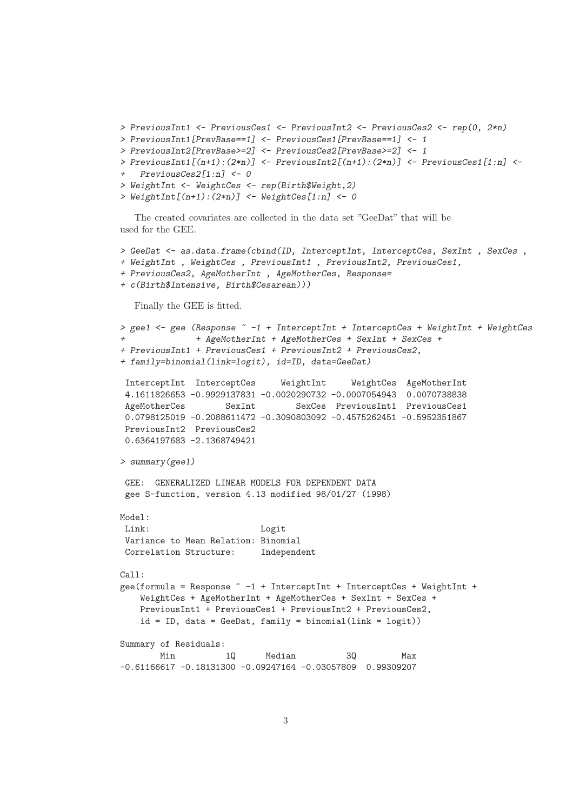```
> PreviousInt1 <- PreviousCes1 <- PreviousInt2 <- PreviousCes2 <- rep(0, 2*n)
> PreviousInt1[PrevBase==1] <- PreviousCes1[PrevBase==1] <- 1
> PreviousInt2[PrevBase>=2] <- PreviousCes2[PrevBase>=2] <- 1
> PreviousInt1[(n+1):(2*n)] <- PreviousInt2[(n+1):(2*n)] <- PreviousCes1[1:n] <-
   + PreviousCes2[1:n] <- 0
> WeightInt <- WeightCes <- rep(Birth$Weight,2)
> WeightInt[(n+1):(2*n)] <- WeightCes[1:n] <- 0
```
The created covariates are collected in the data set "GeeDat" that will be used for the GEE.

```
> GeeDat <- as.data.frame(cbind(ID, InterceptInt, InterceptCes, SexInt , SexCes ,
+ WeightInt , WeightCes , PreviousInt1 , PreviousInt2, PreviousCes1,
+ PreviousCes2, AgeMotherInt , AgeMotherCes, Response=
+ c(Birth$Intensive, Birth$Cesarean)))
  Finally the GEE is fitted.
> gee1 <- gee (Response ~ -1 + InterceptInt + InterceptCes + WeightInt + WeightCes
              + + AgeMotherInt + AgeMotherCes + SexInt + SexCes +
+ PreviousInt1 + PreviousCes1 + PreviousInt2 + PreviousCes2,
+ family=binomial(link=logit), id=ID, data=GeeDat)
 InterceptInt InterceptCes WeightInt WeightCes AgeMotherInt
 4.1611826653 -0.9929137831 -0.0020290732 -0.0007054943 0.0070738838
 AgeMotherCes SexInt SexCes PreviousInt1 PreviousCes1
 0.0798125019 -0.2088611472 -0.3090803092 -0.4575262451 -0.5952351867
 PreviousInt2 PreviousCes2
 0.6364197683 -2.1368749421
> summary(gee1)
 GEE: GENERALIZED LINEAR MODELS FOR DEPENDENT DATA
 gee S-function, version 4.13 modified 98/01/27 (1998)
Model:
Link: Logit
 Variance to Mean Relation: Binomial
 Correlation Structure: Independent
Call:
gee(formula = Response -1 + InterceptInt + InterceptCes + WeightInt +
   WeightCes + AgeMotherInt + AgeMotherCes + SexInt + SexCes +
   PreviousInt1 + PreviousCes1 + PreviousInt2 + PreviousCes2,
   id = ID, data = GeeDat, family = binomial(link = logit))
Summary of Residuals:
       Min 1Q Median 3Q Max
-0.61166617 -0.18131300 -0.09247164 -0.03057809 0.99309207
```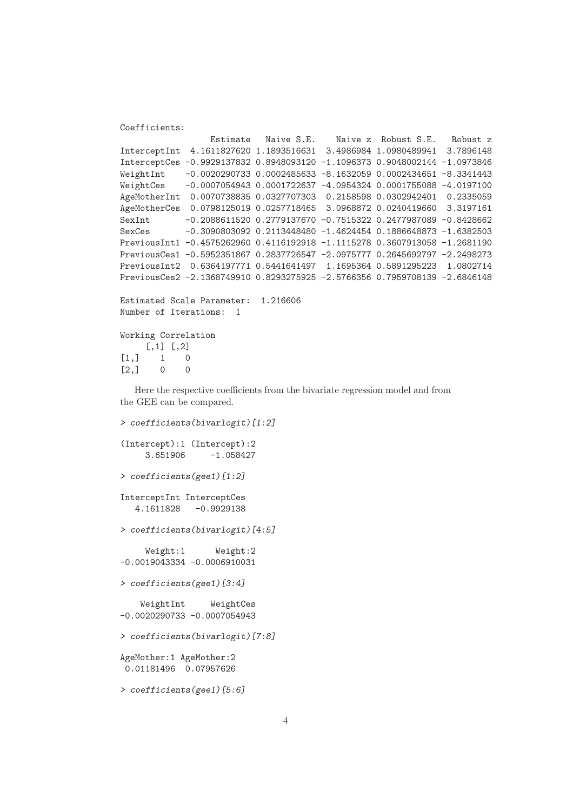Coefficients:

```
Estimate Naive S.E. Naive z Robust S.E. Robust z
InterceptInt 4.1611827620 1.1893516631 3.4986984 1.0980489941 3.7896148
InterceptCes -0.9929137832 0.8948093120 -1.1096373 0.9048002144 -1.0973846
WeightInt -0.0020290733 0.0002485633 -8.1632059 0.0002434651 -8.3341443
WeightCes -0.0007054943 0.0001722637 -4.0954324 0.0001755088 -4.0197100
AgeMotherInt 0.0070738835 0.0327707303 0.2158598 0.0302942401 0.2335059
AgeMotherCes 0.0798125019 0.0257718465 3.0968872 0.0240419660 3.3197161
SexInt -0.2088611520 0.2779137670 -0.7515322 0.2477987089 -0.8428662
SexCes -0.3090803092 0.2113448480 -1.4624454 0.1886648873 -1.6382503
PreviousInt1 -0.4575262960 0.4116192918 -1.1115278 0.3607913058 -1.2681190
PreviousCes1 -0.5952351867 0.2837726547 -2.0975777 0.2645692797 -2.2498273
PreviousInt2 0.6364197771 0.5441641497 1.1695364 0.5891295223 1.0802714
PreviousCes2 -2.1368749910 0.8293275925 -2.5766356 0.7959708139 -2.6846148
Estimated Scale Parameter: 1.216606
Number of Iterations: 1
```

```
Working Correlation
   [,1] [,2]
[1,] 1 0[2,] 0 0
```
Here the respective coefficients from the bivariate regression model and from the GEE can be compared.

```
(Intercept):1 (Intercept):2
    3.651906 -1.058427
> coefficients(gee1)[1:2]
InterceptInt InterceptCes
  4.1611828 -0.9929138
> coefficients(bivarlogit)[4:5]
    Weight:1 Weight:2
-0.0019043334 -0.0006910031
> coefficients(gee1)[3:4]
   WeightInt WeightCes
-0.0020290733 -0.0007054943
> coefficients(bivarlogit)[7:8]
AgeMother:1 AgeMother:2
0.01181496 0.07957626
> coefficients(gee1)[5:6]
```
*> coefficients(bivarlogit)[1:2]*